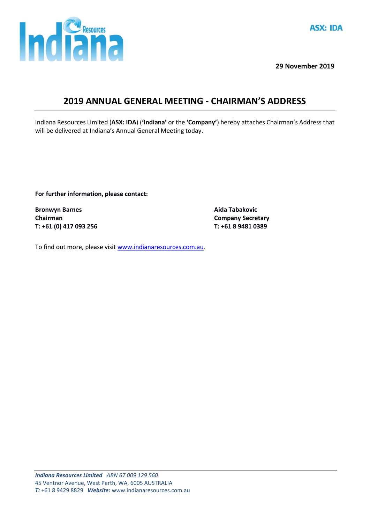

**29 November 2019**

## **2019 ANNUAL GENERAL MEETING - CHAIRMAN'S ADDRESS**

Indiana Resources Limited (**ASX: IDA**) (**'Indiana'** or the **'Company'**) hereby attaches Chairman's Address that will be delivered at Indiana's Annual General Meeting today.

**For further information, please contact:**

**Bronwyn Barnes Aida Tabakovic Chairman Company Secretary T: +61 (0) 417 093 256 T: +61 8 9481 0389**

To find out more, please visit [www.indianaresources.com.au.](http://www.indianaresources.com.au/)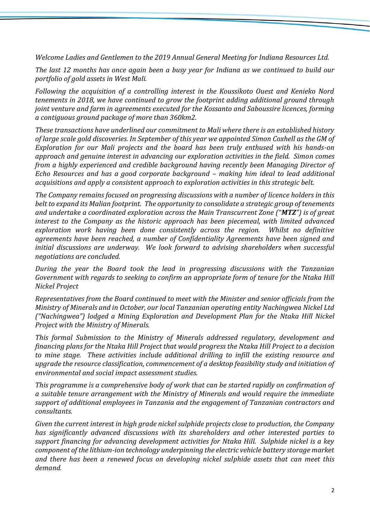*Welcome Ladies and Gentlemen to the 2019 Annual General Meeting for Indiana Resources Ltd.*

*The last 12 months has once again been a busy year for Indiana as we continued to build our portfolio of gold assets in West Mali.* 

*Following the acquisition of a controlling interest in the Koussikoto Ouest and Kenieko Nord tenements in 2018, we have continued to grow the footprint adding additional ground through joint venture and farm in agreements executed for the Kossanto and Saboussire licences, forming a contiguous ground package of more than 360km2.*

*These transactions have underlined our commitment to Mali where there is an established history of large scale gold discoveries. In September of this year we appointed Simon Coxhell as the GM of Exploration for our Mali projects and the board has been truly enthused with his hands-on approach and genuine interest in advancing our exploration activities in the field. Simon comes from a highly experienced and credible background having recently been Managing Director of Echo Resources and has a good corporate background – making him ideal to lead additional acquisitions and apply a consistent approach to exploration activities in this strategic belt.* 

*The Company remains focused on progressing discussions with a number of licence holders in this belt to expand its Malian footprint. The opportunity to consolidate a strategic group of tenements and undertake a coordinated exploration across the Main Transcurrent Zone ("MTZ") is of great interest to the Company as the historic approach has been piecemeal, with limited advanced exploration work having been done consistently across the region. Whilst no definitive agreements have been reached, a number of Confidentiality Agreements have been signed and initial discussions are underway. We look forward to advising shareholders when successful negotiations are concluded.*

*During the year the Board took the lead in progressing discussions with the Tanzanian Government with regards to seeking to confirm an appropriate form of tenure for the Ntaka Hill Nickel Project*

*Representatives from the Board continued to meet with the Minister and senior officials from the Ministry of Minerals and in October, our local Tanzanian operating entity Nachingwea Nickel Ltd ("Nachingwea") lodged a Mining Exploration and Development Plan for the Ntaka Hill Nickel Project with the Ministry of Minerals.*

*This formal Submission to the Ministry of Minerals addressed regulatory, development and financing plans for the Ntaka Hill Project that would progress the Ntaka Hill Project to a decision to mine stage. These activities include additional drilling to infill the existing resource and upgrade the resource classification, commencement of a desktop feasibility study and initiation of environmental and social impact assessment studies.*

*This programme is a comprehensive body of work that can be started rapidly on confirmation of a suitable tenure arrangement with the Ministry of Minerals and would require the immediate support of additional employees in Tanzania and the engagement of Tanzanian contractors and consultants.*

*Given the current interest in high grade nickel sulphide projects close to production, the Company has significantly advanced discussions with its shareholders and other interested parties to support financing for advancing development activities for Ntaka Hill. Sulphide nickel is a key component of the lithium-ion technology underpinning the electric vehicle battery storage market and there has been a renewed focus on developing nickel sulphide assets that can meet this demand.*